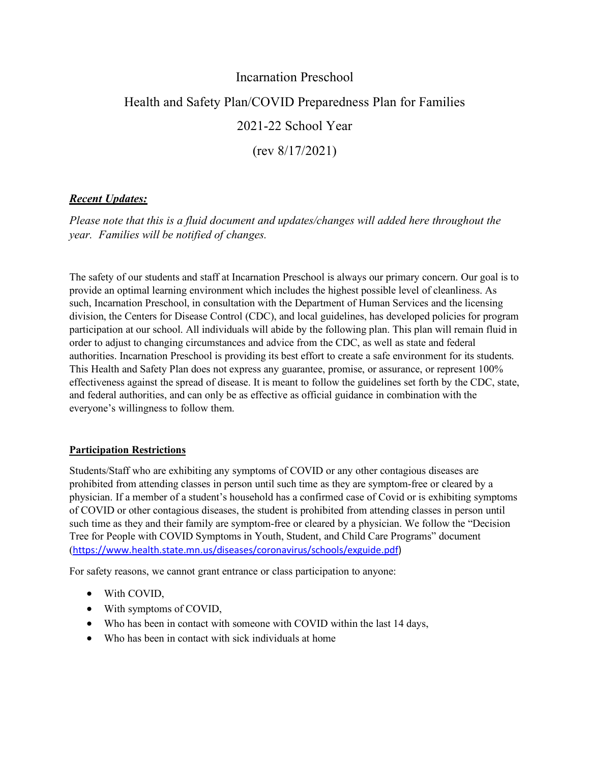## Incarnation Preschool

# Health and Safety Plan/COVID Preparedness Plan for Families

2021-22 School Year

(rev 8/17/2021)

#### *Recent Updates:*

*Please note that this is a fluid document and updates/changes will added here throughout the year. Families will be notified of changes.*

The safety of our students and staff at Incarnation Preschool is always our primary concern. Our goal is to provide an optimal learning environment which includes the highest possible level of cleanliness. As such, Incarnation Preschool, in consultation with the Department of Human Services and the licensing division, the Centers for Disease Control (CDC), and local guidelines, has developed policies for program participation at our school. All individuals will abide by the following plan. This plan will remain fluid in order to adjust to changing circumstances and advice from the CDC, as well as state and federal authorities. Incarnation Preschool is providing its best effort to create a safe environment for its students. This Health and Safety Plan does not express any guarantee, promise, or assurance, or represent 100% effectiveness against the spread of disease. It is meant to follow the guidelines set forth by the CDC, state, and federal authorities, and can only be as effective as official guidance in combination with the everyone's willingness to follow them.

#### **Participation Restrictions**

Students/Staff who are exhibiting any symptoms of COVID or any other contagious diseases are prohibited from attending classes in person until such time as they are symptom-free or cleared by a physician. If a member of a student's household has a confirmed case of Covid or is exhibiting symptoms of COVID or other contagious diseases, the student is prohibited from attending classes in person until such time as they and their family are symptom-free or cleared by a physician. We follow the "Decision Tree for People with COVID Symptoms in Youth, Student, and Child Care Programs" document ([https://www.health.state.mn.us/diseases/coronavirus/schools/exguide.pdf\)](https://www.health.state.mn.us/diseases/coronavirus/schools/exguide.pdf)

For safety reasons, we cannot grant entrance or class participation to anyone:

- With COVID,
- With symptoms of COVID,
- Who has been in contact with someone with COVID within the last 14 days,
- Who has been in contact with sick individuals at home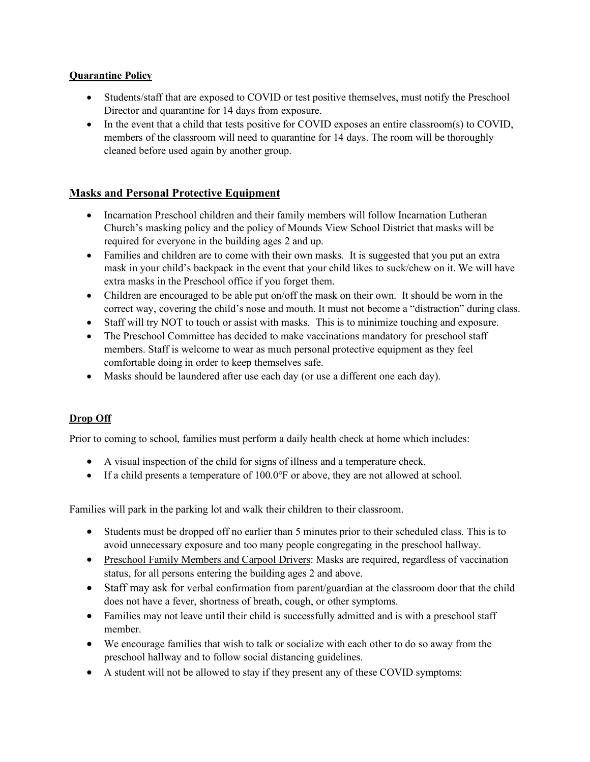#### **Quarantine Policy**

- Students/staff that are exposed to COVID or test positive themselves, must notify the Preschool Director and quarantine for 14 days from exposure.
- In the event that a child that tests positive for COVID exposes an entire classroom(s) to COVID, members of the classroom will need to quarantine for 14 days. The room will be thoroughly cleaned before used again by another group.

#### **Masks and Personal Protective Equipment**

- Incarnation Preschool children and their family members will follow Incarnation Lutheran Church's masking policy and the policy of Mounds View School District that masks will be required for everyone in the building ages 2 and up.
- Families and children are to come with their own masks. It is suggested that you put an extra mask in your child's backpack in the event that your child likes to suck/chew on it. We will have extra masks in the Preschool office if you forget them.
- Children are encouraged to be able put on/off the mask on their own. It should be worn in the correct way, covering the child's nose and mouth. It must not become a "distraction" during class.
- Staff will try NOT to touch or assist with masks. This is to minimize touching and exposure.
- The Preschool Committee has decided to make vaccinations mandatory for preschool staff members. Staff is welcome to wear as much personal protective equipment as they feel comfortable doing in order to keep themselves safe.
- Masks should be laundered after use each day (or use a different one each day).

#### **Drop Off**

Prior to coming to school, families must perform a daily health check at home which includes:

- A visual inspection of the child for signs of illness and a temperature check.
- If a child presents a temperature of  $100.0\textdegree F$  or above, they are not allowed at school.

Families will park in the parking lot and walk their children to their classroom.

- Students must be dropped off no earlier than 5 minutes prior to their scheduled class. This is to avoid unnecessary exposure and too many people congregating in the preschool hallway.
- Preschool Family Members and Carpool Drivers: Masks are required, regardless of vaccination status, for all persons entering the building ages 2 and above.
- Staff may ask for verbal confirmation from parent/guardian at the classroom door that the child does not have a fever, shortness of breath, cough, or other symptoms.
- Families may not leave until their child is successfully admitted and is with a preschool staff member.
- We encourage families that wish to talk or socialize with each other to do so away from the preschool hallway and to follow social distancing guidelines.
- A student will not be allowed to stay if they present any of these COVID symptoms: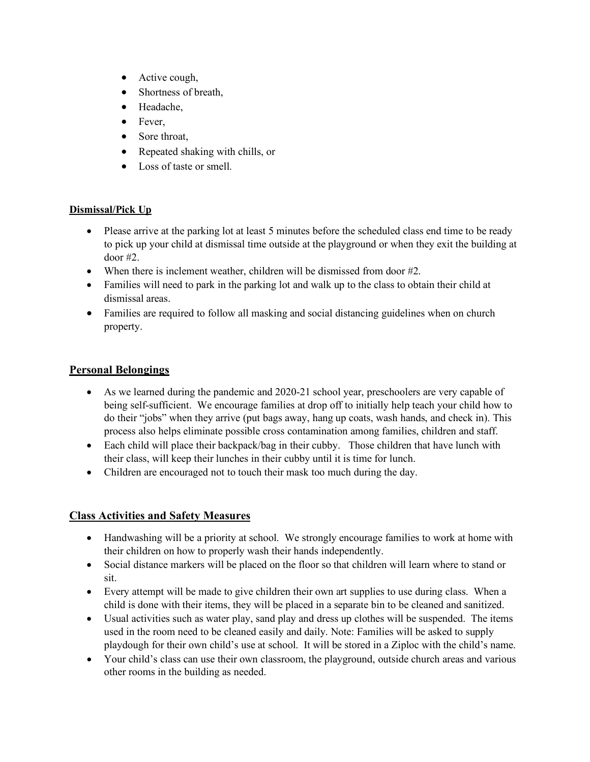- Active cough,
- Shortness of breath,
- Headache,
- Fever,
- Sore throat,
- Repeated shaking with chills, or
- Loss of taste or smell.

## **Dismissal/Pick Up**

- Please arrive at the parking lot at least 5 minutes before the scheduled class end time to be ready to pick up your child at dismissal time outside at the playground or when they exit the building at door #2.
- When there is inclement weather, children will be dismissed from door #2.
- Families will need to park in the parking lot and walk up to the class to obtain their child at dismissal areas.
- Families are required to follow all masking and social distancing guidelines when on church property.

## **Personal Belongings**

- As we learned during the pandemic and 2020-21 school year, preschoolers are very capable of being self-sufficient. We encourage families at drop off to initially help teach your child how to do their "jobs" when they arrive (put bags away, hang up coats, wash hands, and check in). This process also helps eliminate possible cross contamination among families, children and staff.
- Each child will place their backpack/bag in their cubby. Those children that have lunch with their class, will keep their lunches in their cubby until it is time for lunch.
- Children are encouraged not to touch their mask too much during the day.

## **Class Activities and Safety Measures**

- Handwashing will be a priority at school. We strongly encourage families to work at home with their children on how to properly wash their hands independently.
- Social distance markers will be placed on the floor so that children will learn where to stand or sit.
- Every attempt will be made to give children their own art supplies to use during class. When a child is done with their items, they will be placed in a separate bin to be cleaned and sanitized.
- Usual activities such as water play, sand play and dress up clothes will be suspended. The items used in the room need to be cleaned easily and daily. Note: Families will be asked to supply playdough for their own child's use at school. It will be stored in a Ziploc with the child's name.
- Your child's class can use their own classroom, the playground, outside church areas and various other rooms in the building as needed.